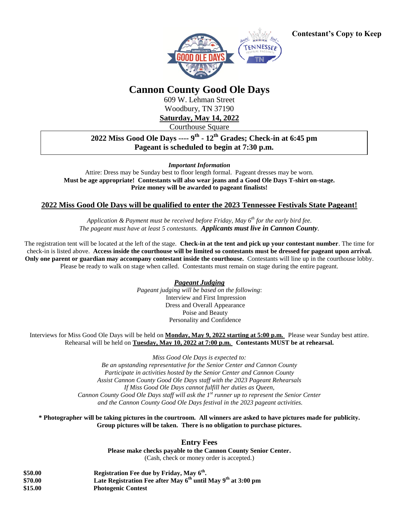

## **Cannon County Good Ole Days**

609 W. Lehman Street Woodbury, TN 37190

**Saturday, May 14, 2022**

Courthouse Square

**2022 Miss Good Ole Days ---- 9 th - 12th Grades; Check-in at 6:45 pm Pageant is scheduled to begin at 7:30 p.m.**

*Important Information*

Attire: Dress may be Sunday best to floor length formal. Pageant dresses may be worn. **Must be age appropriate! Contestants will also wear jeans and a Good Ole Days T-shirt on-stage. Prize money will be awarded to pageant finalists!**

## **2022 Miss Good Ole Days will be qualified to enter the 2023 Tennessee Festivals State Pageant!**

*Application & Payment must be received before Friday, May 6th for the early bird fee. The pageant must have at least 5 contestants. Applicants must live in Cannon County.*

The registration tent will be located at the left of the stage. **Check-in at the tent and pick up your contestant number**. The time for check-in is listed above. **Access inside the courthouse will be limited so contestants must be dressed for pageant upon arrival. Only one parent or guardian may accompany contestant inside the courthouse.** Contestants will line up in the courthouse lobby. Please be ready to walk on stage when called. Contestants must remain on stage during the entire pageant.

*Pageant Judging*

*Pageant judging will be based on the following*: Interview and First Impression Dress and Overall Appearance Poise and Beauty Personality and Confidence

Interviews for Miss Good Ole Days will be held on **Monday, May 9, 2022 starting at 5:00 p.m.** Please wear Sunday best attire. Rehearsal will be held on **Tuesday, May 10, 2022 at 7:00 p.m. Contestants MUST be at rehearsal.**

*Miss Good Ole Days is expected to:*

*Be an upstanding representative for the Senior Center and Cannon County Participate in activities hosted by the Senior Center and Cannon County Assist Cannon County Good Ole Days staff with the 2023 Pageant Rehearsals If Miss Good Ole Days cannot fulfill her duties as Queen, Cannon County Good Ole Days staff will ask the 1 st runner up to represent the Senior Center and the Cannon County Good Ole Days festival in the 2023 pageant activities.*

**\* Photographer will be taking pictures in the courtroom. All winners are asked to have pictures made for publicity. Group pictures will be taken. There is no obligation to purchase pictures.**

**Entry Fees** 

**Please make checks payable to the Cannon County Senior Center.** (Cash, check or money order is accepted.)

| \$50.00 | Registration Fee due by Friday, May 6 <sup>th</sup> .                  |
|---------|------------------------------------------------------------------------|
| \$70.00 | Late Registration Fee after May $6^{th}$ until May $9^{th}$ at 3:00 pm |
| \$15.00 | <b>Photogenic Contest</b>                                              |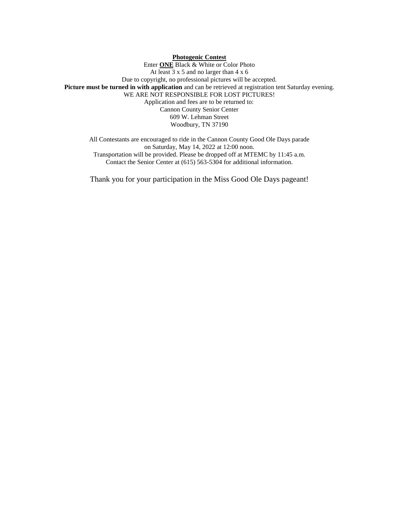## **Photogenic Contest**

Enter **ONE** Black & White or Color Photo At least 3 x 5 and no larger than 4 x 6 Due to copyright, no professional pictures will be accepted. **Picture must be turned in with application** and can be retrieved at registration tent Saturday evening. WE ARE NOT RESPONSIBLE FOR LOST PICTURES! Application and fees are to be returned to: Cannon County Senior Center 609 W. Lehman Street Woodbury, TN 37190

All Contestants are encouraged to ride in the Cannon County Good Ole Days parade on Saturday, May 14, 2022 at 12:00 noon. Transportation will be provided. Please be dropped off at MTEMC by 11:45 a.m. Contact the Senior Center at (615) 563-5304 for additional information.

Thank you for your participation in the Miss Good Ole Days pageant!